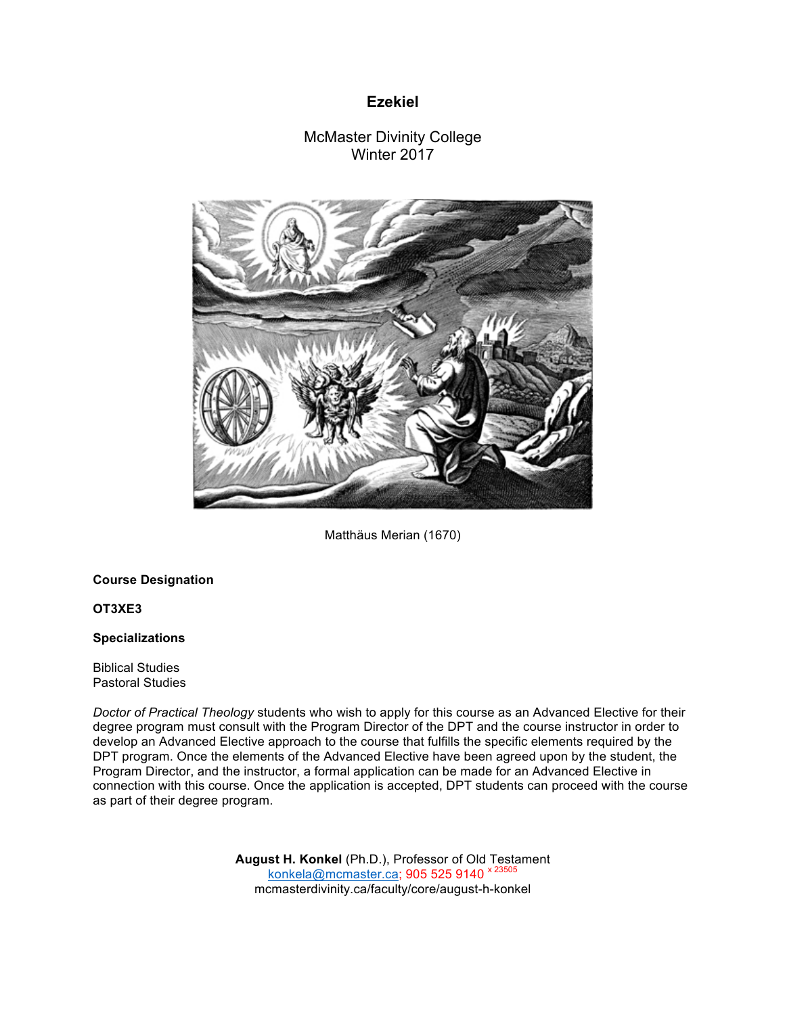# **Ezekiel**

# McMaster Divinity College Winter 2017



Matthäus Merian (1670)

# **Course Designation**

## **OT3XE3**

## **Specializations**

Biblical Studies Pastoral Studies

*Doctor of Practical Theology* students who wish to apply for this course as an Advanced Elective for their degree program must consult with the Program Director of the DPT and the course instructor in order to develop an Advanced Elective approach to the course that fulfills the specific elements required by the DPT program. Once the elements of the Advanced Elective have been agreed upon by the student, the Program Director, and the instructor, a formal application can be made for an Advanced Elective in connection with this course. Once the application is accepted, DPT students can proceed with the course as part of their degree program.

> **August H. Konkel** (Ph.D.), Professor of Old Testament konkela@mcmaster.ca; 905 525 9140 x 23505 mcmasterdivinity.ca/faculty/core/august-h-konkel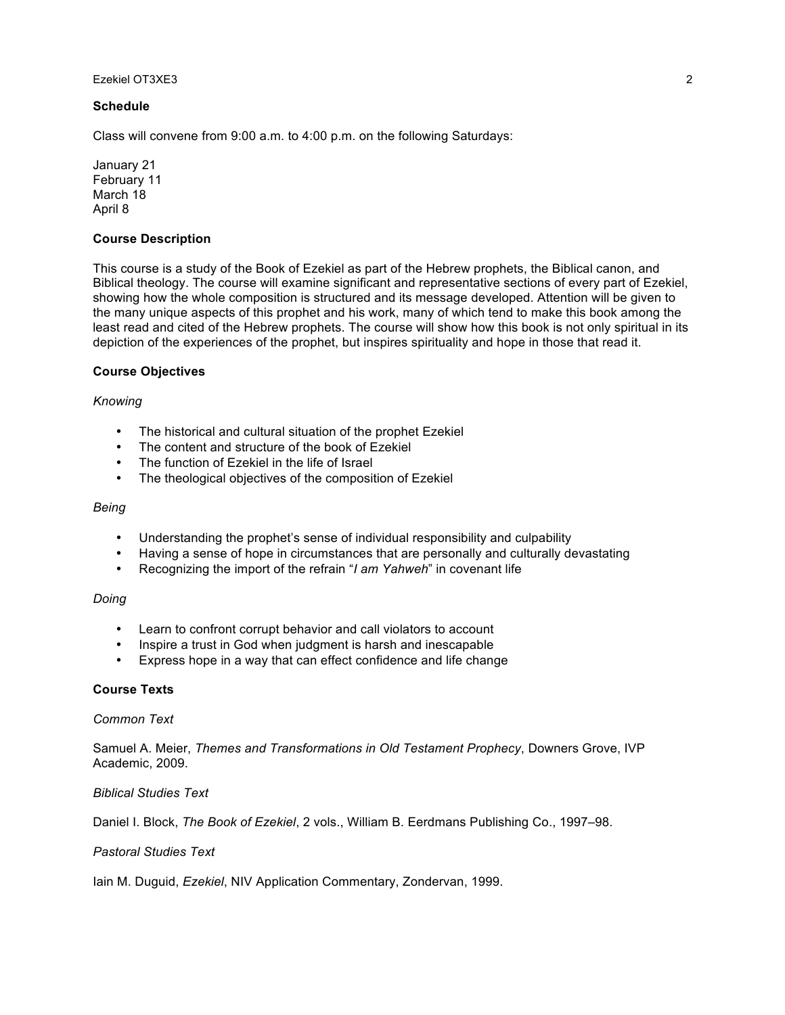#### **Schedule**

Class will convene from 9:00 a.m. to 4:00 p.m. on the following Saturdays:

January 21 February 11 March 18 April 8

## **Course Description**

This course is a study of the Book of Ezekiel as part of the Hebrew prophets, the Biblical canon, and Biblical theology. The course will examine significant and representative sections of every part of Ezekiel, showing how the whole composition is structured and its message developed. Attention will be given to the many unique aspects of this prophet and his work, many of which tend to make this book among the least read and cited of the Hebrew prophets. The course will show how this book is not only spiritual in its depiction of the experiences of the prophet, but inspires spirituality and hope in those that read it.

#### **Course Objectives**

## *Knowing*

- The historical and cultural situation of the prophet Ezekiel
- The content and structure of the book of Ezekiel
- The function of Ezekiel in the life of Israel
- The theological objectives of the composition of Ezekiel

### *Being*

- Understanding the prophet's sense of individual responsibility and culpability
- Having a sense of hope in circumstances that are personally and culturally devastating
- Recognizing the import of the refrain "*I am Yahweh*" in covenant life

# *Doing*

- Learn to confront corrupt behavior and call violators to account
- Inspire a trust in God when judgment is harsh and inescapable
- Express hope in a way that can effect confidence and life change

## **Course Texts**

#### *Common Text*

Samuel A. Meier, *Themes and Transformations in Old Testament Prophecy*, Downers Grove, IVP Academic, 2009.

#### *Biblical Studies Text*

Daniel I. Block, *The Book of Ezekiel*, 2 vols., William B. Eerdmans Publishing Co., 1997–98.

#### *Pastoral Studies Text*

Iain M. Duguid, *Ezekiel*, NIV Application Commentary, Zondervan, 1999.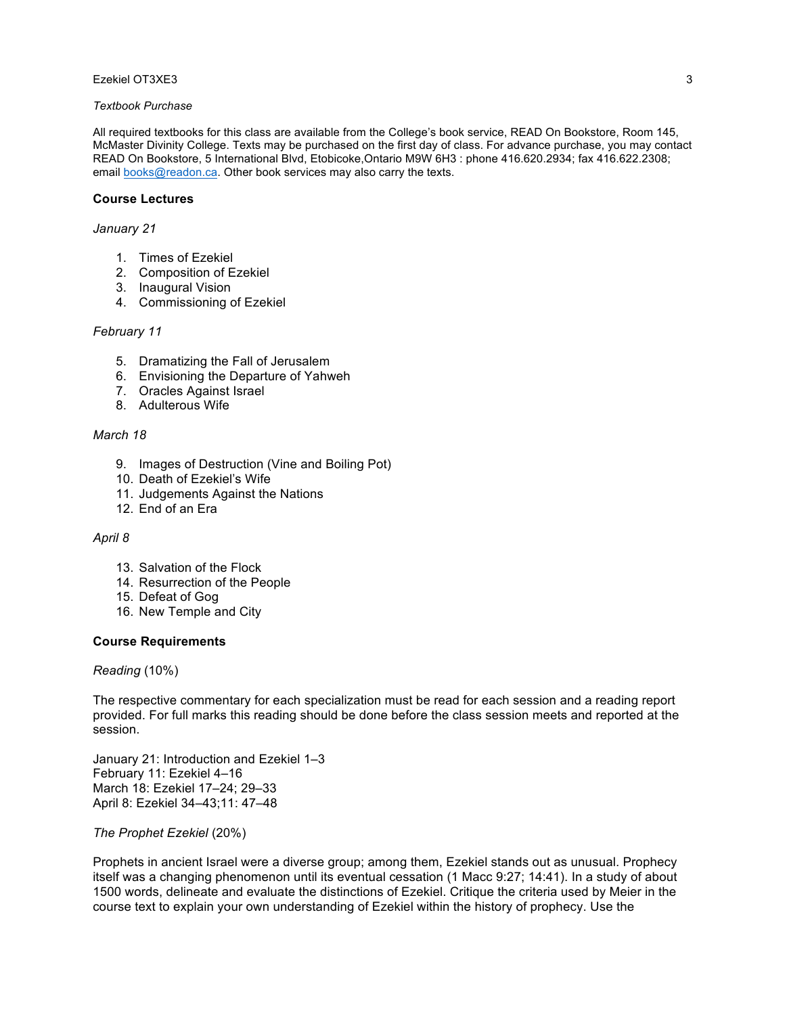## *Textbook Purchase*

All required textbooks for this class are available from the College's book service, READ On Bookstore, Room 145, McMaster Divinity College. Texts may be purchased on the first day of class. For advance purchase, you may contact READ On Bookstore, 5 International Blvd, Etobicoke,Ontario M9W 6H3 : phone 416.620.2934; fax 416.622.2308; email books@readon.ca. Other book services may also carry the texts.

#### **Course Lectures**

#### *January 21*

- 1. Times of Ezekiel
- 2. Composition of Ezekiel
- 3. Inaugural Vision
- 4. Commissioning of Ezekiel

#### *February 11*

- 5. Dramatizing the Fall of Jerusalem
- 6. Envisioning the Departure of Yahweh
- 7. Oracles Against Israel
- 8. Adulterous Wife

#### *March 18*

- 9. Images of Destruction (Vine and Boiling Pot)
- 10. Death of Ezekiel's Wife
- 11. Judgements Against the Nations
- 12. End of an Era

#### *April 8*

- 13. Salvation of the Flock
- 14. Resurrection of the People
- 15. Defeat of Gog
- 16. New Temple and City

#### **Course Requirements**

*Reading* (10%)

The respective commentary for each specialization must be read for each session and a reading report provided. For full marks this reading should be done before the class session meets and reported at the session.

January 21: Introduction and Ezekiel 1–3 February 11: Ezekiel 4–16 March 18: Ezekiel 17–24; 29–33 April 8: Ezekiel 34–43;11: 47–48

*The Prophet Ezekiel* (20%)

Prophets in ancient Israel were a diverse group; among them, Ezekiel stands out as unusual. Prophecy itself was a changing phenomenon until its eventual cessation (1 Macc 9:27; 14:41). In a study of about 1500 words, delineate and evaluate the distinctions of Ezekiel. Critique the criteria used by Meier in the course text to explain your own understanding of Ezekiel within the history of prophecy. Use the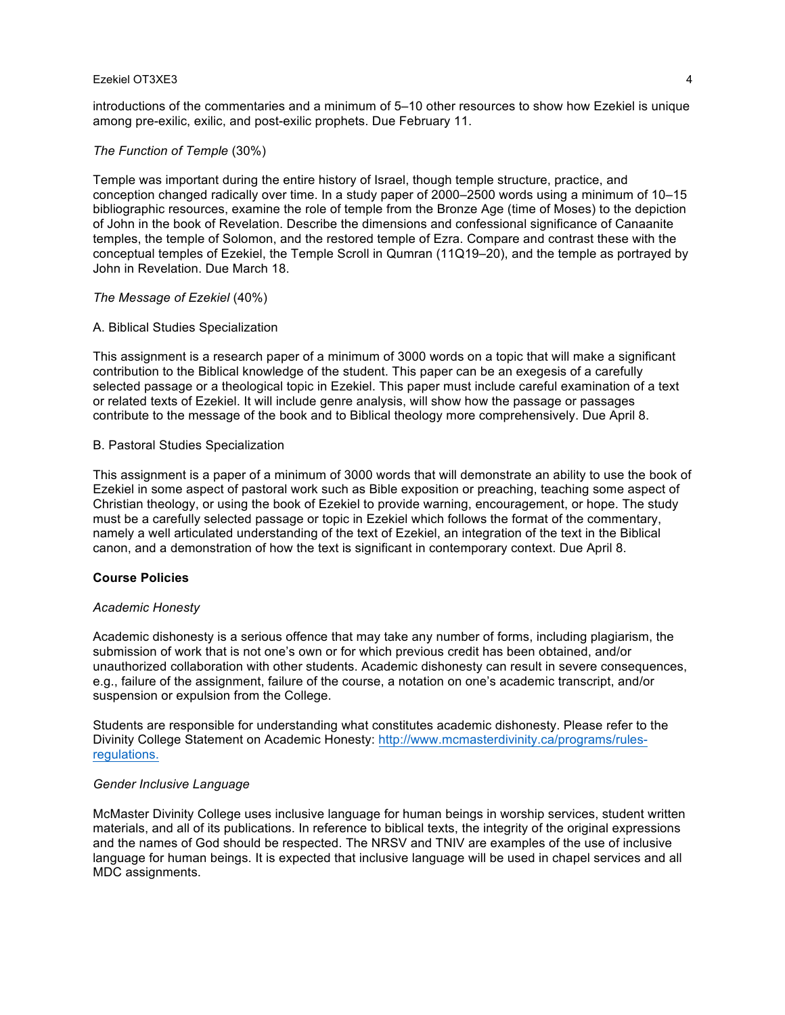introductions of the commentaries and a minimum of 5–10 other resources to show how Ezekiel is unique among pre-exilic, exilic, and post-exilic prophets. Due February 11.

#### *The Function of Temple* (30%)

Temple was important during the entire history of Israel, though temple structure, practice, and conception changed radically over time. In a study paper of 2000–2500 words using a minimum of 10–15 bibliographic resources, examine the role of temple from the Bronze Age (time of Moses) to the depiction of John in the book of Revelation. Describe the dimensions and confessional significance of Canaanite temples, the temple of Solomon, and the restored temple of Ezra. Compare and contrast these with the conceptual temples of Ezekiel, the Temple Scroll in Qumran (11Q19–20), and the temple as portrayed by John in Revelation. Due March 18.

#### *The Message of Ezekiel* (40%)

#### A. Biblical Studies Specialization

This assignment is a research paper of a minimum of 3000 words on a topic that will make a significant contribution to the Biblical knowledge of the student. This paper can be an exegesis of a carefully selected passage or a theological topic in Ezekiel. This paper must include careful examination of a text or related texts of Ezekiel. It will include genre analysis, will show how the passage or passages contribute to the message of the book and to Biblical theology more comprehensively. Due April 8.

## B. Pastoral Studies Specialization

This assignment is a paper of a minimum of 3000 words that will demonstrate an ability to use the book of Ezekiel in some aspect of pastoral work such as Bible exposition or preaching, teaching some aspect of Christian theology, or using the book of Ezekiel to provide warning, encouragement, or hope. The study must be a carefully selected passage or topic in Ezekiel which follows the format of the commentary, namely a well articulated understanding of the text of Ezekiel, an integration of the text in the Biblical canon, and a demonstration of how the text is significant in contemporary context. Due April 8.

## **Course Policies**

#### *Academic Honesty*

Academic dishonesty is a serious offence that may take any number of forms, including plagiarism, the submission of work that is not one's own or for which previous credit has been obtained, and/or unauthorized collaboration with other students. Academic dishonesty can result in severe consequences, e.g., failure of the assignment, failure of the course, a notation on one's academic transcript, and/or suspension or expulsion from the College.

Students are responsible for understanding what constitutes academic dishonesty. Please refer to the Divinity College Statement on Academic Honesty: http://www.mcmasterdivinity.ca/programs/rulesregulations.

#### *Gender Inclusive Language*

McMaster Divinity College uses inclusive language for human beings in worship services, student written materials, and all of its publications. In reference to biblical texts, the integrity of the original expressions and the names of God should be respected. The NRSV and TNIV are examples of the use of inclusive language for human beings. It is expected that inclusive language will be used in chapel services and all MDC assignments.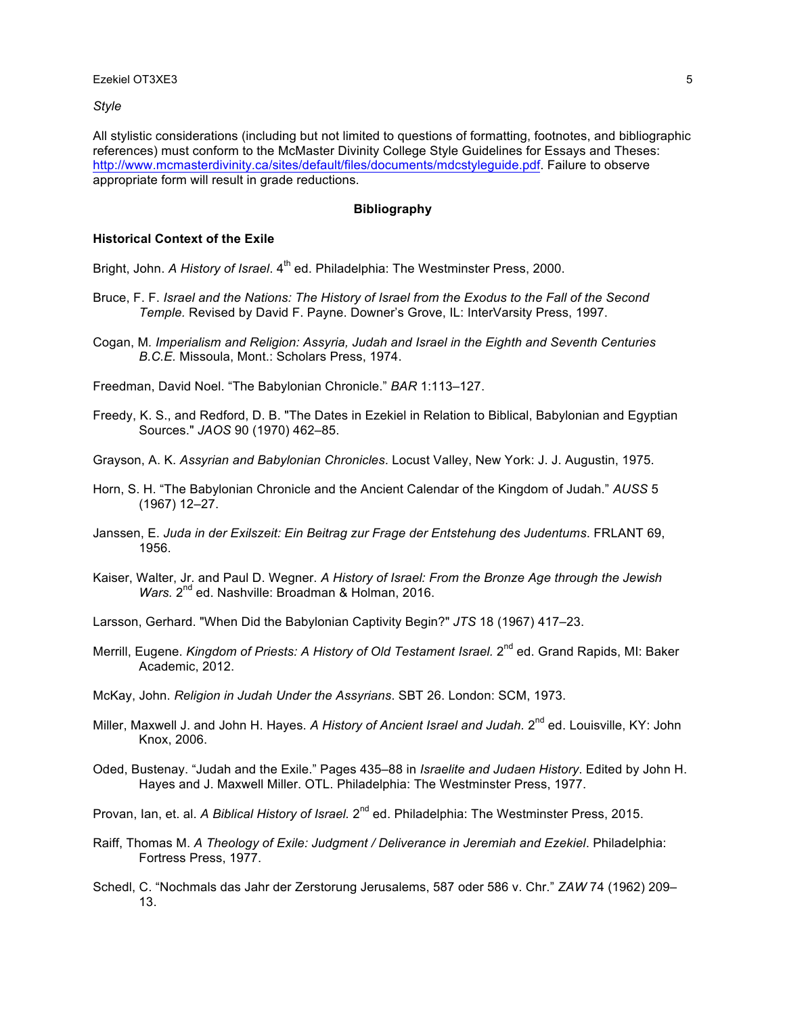*Style*

All stylistic considerations (including but not limited to questions of formatting, footnotes, and bibliographic references) must conform to the McMaster Divinity College Style Guidelines for Essays and Theses: http://www.mcmasterdivinity.ca/sites/default/files/documents/mdcstyleguide.pdf. Failure to observe appropriate form will result in grade reductions.

#### **Bibliography**

#### **Historical Context of the Exile**

Bright, John. *A History of Israel*. 4<sup>th</sup> ed. Philadelphia: The Westminster Press, 2000.

- Bruce, F. F. *Israel and the Nations: The History of Israel from the Exodus to the Fall of the Second Temple.* Revised by David F. Payne. Downer's Grove, IL: InterVarsity Press, 1997.
- Cogan, M*. Imperialism and Religion: Assyria, Judah and Israel in the Eighth and Seventh Centuries B.C.E.* Missoula, Mont.: Scholars Press, 1974.

Freedman, David Noel. "The Babylonian Chronicle." *BAR* 1:113–127.

- Freedy, K. S., and Redford, D. B. "The Dates in Ezekiel in Relation to Biblical, Babylonian and Egyptian Sources." *JAOS* 90 (1970) 462–85.
- Grayson, A. K. *Assyrian and Babylonian Chronicles*. Locust Valley, New York: J. J. Augustin, 1975.
- Horn, S. H. "The Babylonian Chronicle and the Ancient Calendar of the Kingdom of Judah." *AUSS* 5 (1967) 12–27.
- Janssen, E. *Juda in der Exilszeit: Ein Beitrag zur Frage der Entstehung des Judentums*. FRLANT 69, 1956.
- Kaiser, Walter, Jr. and Paul D. Wegner. *A History of Israel: From the Bronze Age through the Jewish*  Wars. 2<sup>nd</sup> ed. Nashville: Broadman & Holman, 2016.
- Larsson, Gerhard. "When Did the Babylonian Captivity Begin?" *JTS* 18 (1967) 417–23.
- Merrill, Eugene. *Kingdom of Priests: A History of Old Testament Israel.* 2<sup>nd</sup> ed. Grand Rapids, MI: Baker Academic, 2012.
- McKay, John. *Religion in Judah Under the Assyrians*. SBT 26. London: SCM, 1973.
- Miller, Maxwell J. and John H. Hayes. A History of Ancient Israel and Judah. 2<sup>nd</sup> ed. Louisville, KY: John Knox, 2006.
- Oded, Bustenay. "Judah and the Exile." Pages 435–88 in *Israelite and Judaen History*. Edited by John H. Hayes and J. Maxwell Miller. OTL. Philadelphia: The Westminster Press, 1977.
- Provan, Ian, et. al. *A Biblical History of Israel.* 2<sup>nd</sup> ed. Philadelphia: The Westminster Press, 2015.
- Raiff, Thomas M. *A Theology of Exile: Judgment / Deliverance in Jeremiah and Ezekiel*. Philadelphia: Fortress Press, 1977.
- Schedl, C. "Nochmals das Jahr der Zerstorung Jerusalems, 587 oder 586 v. Chr." *ZAW* 74 (1962) 209– 13.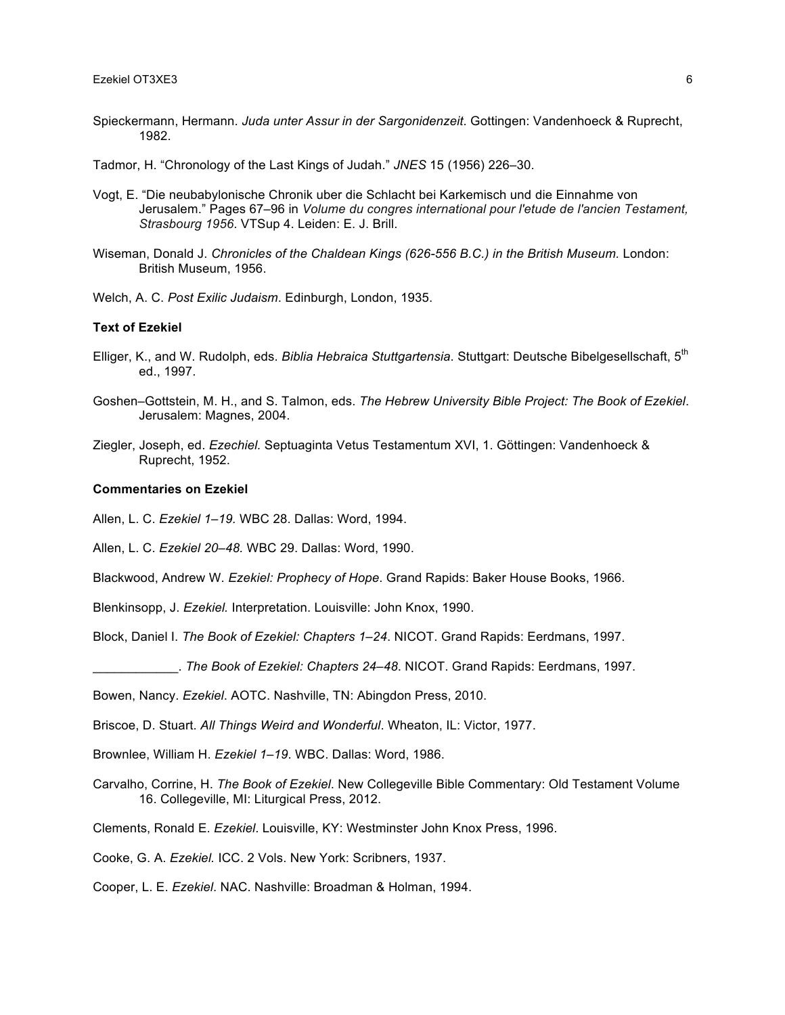- Spieckermann, Hermann. *Juda unter Assur in der Sargonidenzeit*. Gottingen: Vandenhoeck & Ruprecht, 1982.
- Tadmor, H. "Chronology of the Last Kings of Judah." *JNES* 15 (1956) 226–30.
- Vogt, E. "Die neubabylonische Chronik uber die Schlacht bei Karkemisch und die Einnahme von Jerusalem." Pages 67–96 in *Volume du congres international pour l'etude de l'ancien Testament, Strasbourg 1956*. VTSup 4. Leiden: E. J. Brill.
- Wiseman, Donald J. *Chronicles of the Chaldean Kings (626-556 B.C.) in the British Museum.* London: British Museum, 1956.
- Welch, A. C. *Post Exilic Judaism*. Edinburgh, London, 1935.

#### **Text of Ezekiel**

- Elliger, K., and W. Rudolph, eds. *Biblia Hebraica Stuttgartensia*. Stuttgart: Deutsche Bibelgesellschaft, 5th ed., 1997.
- Goshen–Gottstein, M. H., and S. Talmon, eds. *The Hebrew University Bible Project: The Book of Ezekiel*. Jerusalem: Magnes, 2004.
- Ziegler, Joseph, ed. *Ezechiel.* Septuaginta Vetus Testamentum XVI, 1. Göttingen: Vandenhoeck & Ruprecht, 1952.

#### **Commentaries on Ezekiel**

Allen, L. C. *Ezekiel 1–19.* WBC 28. Dallas: Word, 1994.

Allen, L. C. *Ezekiel 20–48.* WBC 29. Dallas: Word, 1990.

Blackwood, Andrew W. *Ezekiel: Prophecy of Hope*. Grand Rapids: Baker House Books, 1966.

Blenkinsopp, J. *Ezekiel.* Interpretation. Louisville: John Knox, 1990.

Block, Daniel I. *The Book of Ezekiel: Chapters 1–24*. NICOT. Grand Rapids: Eerdmans, 1997.

\_\_\_\_\_\_\_\_\_\_\_\_. *The Book of Ezekiel: Chapters 24–48*. NICOT. Grand Rapids: Eerdmans, 1997.

Bowen, Nancy. *Ezekiel*. AOTC. Nashville, TN: Abingdon Press, 2010.

Briscoe, D. Stuart. *All Things Weird and Wonderful*. Wheaton, IL: Victor, 1977.

Brownlee, William H. *Ezekiel 1–19*. WBC. Dallas: Word, 1986.

Carvalho, Corrine, H. *The Book of Ezekiel*. New Collegeville Bible Commentary: Old Testament Volume 16. Collegeville, MI: Liturgical Press, 2012.

Clements, Ronald E. *Ezekiel*. Louisville, KY: Westminster John Knox Press, 1996.

Cooke, G. A. *Ezekiel.* ICC. 2 Vols. New York: Scribners, 1937.

Cooper, L. E. *Ezekiel*. NAC. Nashville: Broadman & Holman, 1994.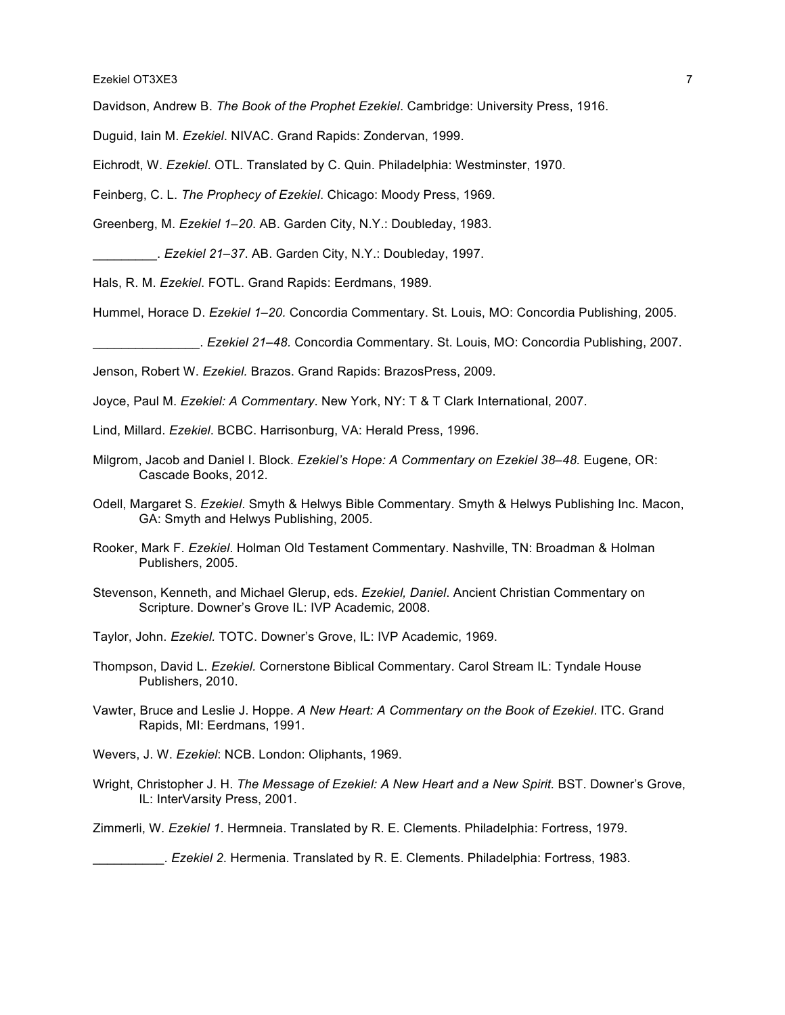Davidson, Andrew B. *The Book of the Prophet Ezekiel*. Cambridge: University Press, 1916.

Duguid, Iain M. *Ezekiel*. NIVAC. Grand Rapids: Zondervan, 1999.

Eichrodt, W. *Ezekiel*. OTL. Translated by C. Quin. Philadelphia: Westminster, 1970.

Feinberg, C. L. *The Prophecy of Ezekiel*. Chicago: Moody Press, 1969.

Greenberg, M. *Ezekiel 1–20*. AB. Garden City, N.Y.: Doubleday, 1983.

\_\_\_\_\_\_\_\_\_. *Ezekiel 21–37*. AB. Garden City, N.Y.: Doubleday, 1997.

Hals, R. M. *Ezekiel*. FOTL. Grand Rapids: Eerdmans, 1989.

Hummel, Horace D. *Ezekiel 1–20.* Concordia Commentary. St. Louis, MO: Concordia Publishing, 2005.

\_\_\_\_\_\_\_\_\_\_\_\_\_\_\_. *Ezekiel 21–48.* Concordia Commentary. St. Louis, MO: Concordia Publishing, 2007.

Jenson, Robert W. *Ezekiel.* Brazos. Grand Rapids: BrazosPress, 2009.

Joyce, Paul M. *Ezekiel: A Commentary*. New York, NY: T & T Clark International, 2007.

- Lind, Millard. *Ezekiel*. BCBC. Harrisonburg, VA: Herald Press, 1996.
- Milgrom, Jacob and Daniel I. Block. *Ezekiel's Hope: A Commentary on Ezekiel 38–48.* Eugene, OR: Cascade Books, 2012.
- Odell, Margaret S. *Ezekiel*. Smyth & Helwys Bible Commentary. Smyth & Helwys Publishing Inc. Macon, GA: Smyth and Helwys Publishing, 2005.
- Rooker, Mark F. *Ezekiel*. Holman Old Testament Commentary. Nashville, TN: Broadman & Holman Publishers, 2005.
- Stevenson, Kenneth, and Michael Glerup, eds. *Ezekiel, Daniel*. Ancient Christian Commentary on Scripture. Downer's Grove IL: IVP Academic, 2008.
- Taylor, John. *Ezekiel.* TOTC. Downer's Grove, IL: IVP Academic, 1969.
- Thompson, David L. *Ezekiel.* Cornerstone Biblical Commentary. Carol Stream IL: Tyndale House Publishers, 2010.
- Vawter, Bruce and Leslie J. Hoppe. *A New Heart: A Commentary on the Book of Ezekiel*. ITC. Grand Rapids, MI: Eerdmans, 1991.
- Wevers, J. W. *Ezekiel*: NCB. London: Oliphants, 1969.
- Wright, Christopher J. H. *The Message of Ezekiel: A New Heart and a New Spirit.* BST. Downer's Grove, IL: InterVarsity Press, 2001.

Zimmerli, W. *Ezekiel 1*. Hermneia. Translated by R. E. Clements. Philadelphia: Fortress, 1979.

\_\_\_\_\_\_\_\_\_\_. *Ezekiel 2*. Hermenia. Translated by R. E. Clements. Philadelphia: Fortress, 1983.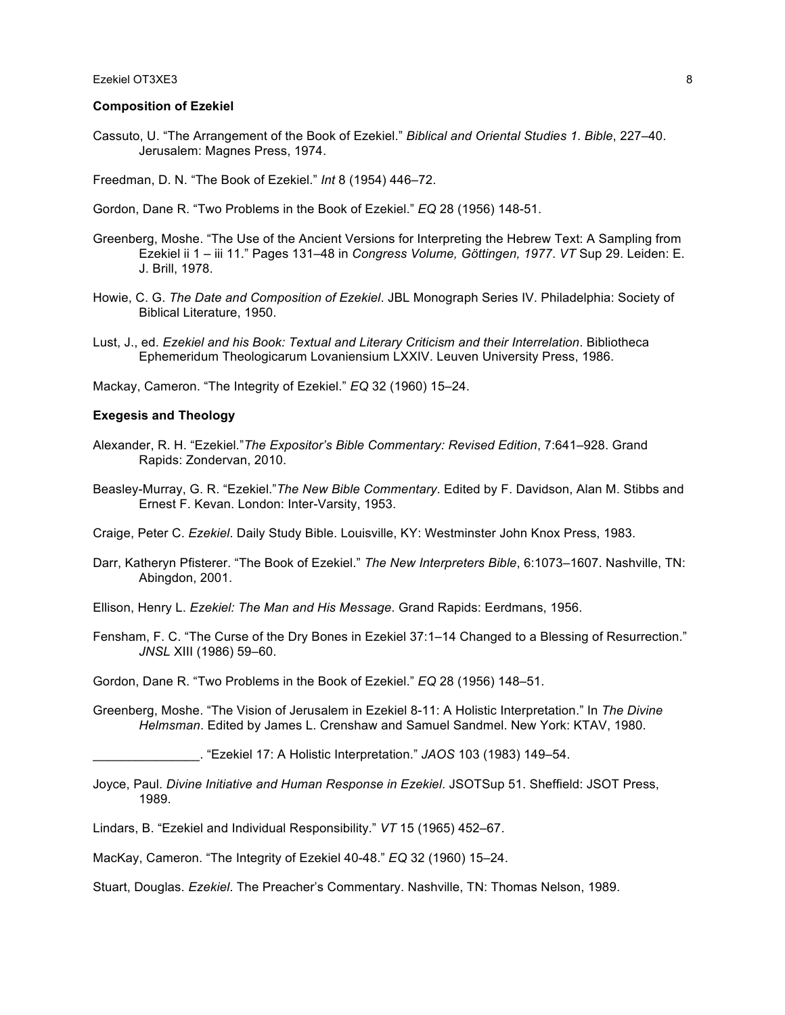#### **Composition of Ezekiel**

Cassuto, U. "The Arrangement of the Book of Ezekiel." *Biblical and Oriental Studies 1*. *Bible*, 227–40. Jerusalem: Magnes Press, 1974.

Freedman, D. N. "The Book of Ezekiel." *Int* 8 (1954) 446–72.

Gordon, Dane R. "Two Problems in the Book of Ezekiel." *EQ* 28 (1956) 148-51.

- Greenberg, Moshe. "The Use of the Ancient Versions for Interpreting the Hebrew Text: A Sampling from Ezekiel ii 1 – iii 11." Pages 131–48 in *Congress Volume, Göttingen, 1977*. *VT* Sup 29. Leiden: E. J. Brill, 1978.
- Howie, C. G. *The Date and Composition of Ezekiel*. JBL Monograph Series IV. Philadelphia: Society of Biblical Literature, 1950.
- Lust, J., ed. *Ezekiel and his Book: Textual and Literary Criticism and their Interrelation*. Bibliotheca Ephemeridum Theologicarum Lovaniensium LXXIV. Leuven University Press, 1986.

Mackay, Cameron. "The Integrity of Ezekiel." *EQ* 32 (1960) 15–24.

#### **Exegesis and Theology**

- Alexander, R. H. "Ezekiel."*The Expositor's Bible Commentary: Revised Edition*, 7:641–928. Grand Rapids: Zondervan, 2010.
- Beasley-Murray, G. R. "Ezekiel."*The New Bible Commentary*. Edited by F. Davidson, Alan M. Stibbs and Ernest F. Kevan. London: Inter-Varsity, 1953.

Craige, Peter C. *Ezekiel*. Daily Study Bible. Louisville, KY: Westminster John Knox Press, 1983.

- Darr, Katheryn Pfisterer. "The Book of Ezekiel." *The New Interpreters Bible*, 6:1073–1607. Nashville, TN: Abingdon, 2001.
- Ellison, Henry L. *Ezekiel: The Man and His Message*. Grand Rapids: Eerdmans, 1956.
- Fensham, F. C. "The Curse of the Dry Bones in Ezekiel 37:1–14 Changed to a Blessing of Resurrection." *JNSL* XIII (1986) 59–60.

Gordon, Dane R. "Two Problems in the Book of Ezekiel." *EQ* 28 (1956) 148–51.

Greenberg, Moshe. "The Vision of Jerusalem in Ezekiel 8-11: A Holistic Interpretation." In *The Divine Helmsman*. Edited by James L. Crenshaw and Samuel Sandmel. New York: KTAV, 1980.

\_\_\_\_\_\_\_\_\_\_\_\_\_\_\_. "Ezekiel 17: A Holistic Interpretation." *JAOS* 103 (1983) 149–54.

Joyce, Paul. *Divine Initiative and Human Response in Ezekiel*. JSOTSup 51. Sheffield: JSOT Press, 1989.

Lindars, B. "Ezekiel and Individual Responsibility." *VT* 15 (1965) 452–67.

MacKay, Cameron. "The Integrity of Ezekiel 40-48." *EQ* 32 (1960) 15–24.

Stuart, Douglas. *Ezekiel*. The Preacher's Commentary. Nashville, TN: Thomas Nelson, 1989.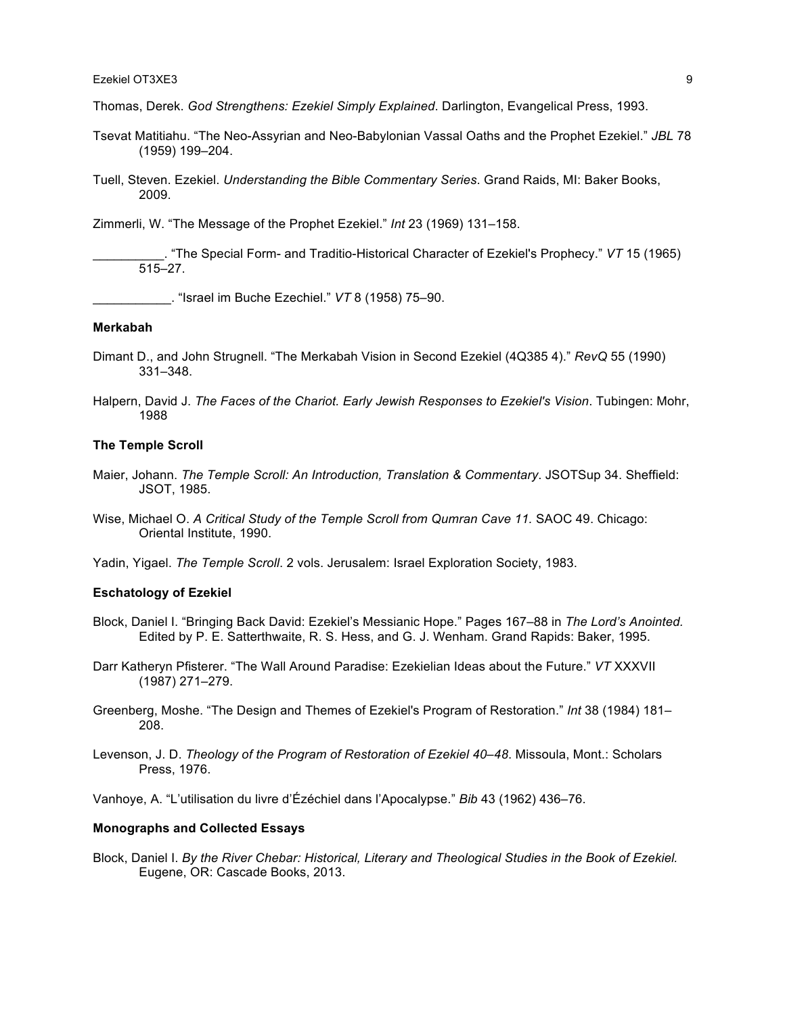Thomas, Derek. *God Strengthens: Ezekiel Simply Explained*. Darlington, Evangelical Press, 1993.

- Tsevat Matitiahu. "The Neo-Assyrian and Neo-Babylonian Vassal Oaths and the Prophet Ezekiel." *JBL* 78 (1959) 199–204.
- Tuell, Steven. Ezekiel. *Understanding the Bible Commentary Series*. Grand Raids, MI: Baker Books, 2009.

Zimmerli, W. "The Message of the Prophet Ezekiel." *Int* 23 (1969) 131–158.

\_\_\_\_\_\_\_\_\_\_. "The Special Form- and Traditio-Historical Character of Ezekiel's Prophecy." *VT* 15 (1965) 515–27.

\_\_\_\_\_\_\_\_\_\_\_. "Israel im Buche Ezechiel." *VT* 8 (1958) 75–90.

#### **Merkabah**

- Dimant D., and John Strugnell. "The Merkabah Vision in Second Ezekiel (4Q385 4)." *RevQ* 55 (1990) 331–348.
- Halpern, David J. *The Faces of the Chariot. Early Jewish Responses to Ezekiel's Vision*. Tubingen: Mohr, 1988

#### **The Temple Scroll**

- Maier, Johann. *The Temple Scroll: An Introduction, Translation & Commentary*. JSOTSup 34. Sheffield: JSOT, 1985.
- Wise, Michael O. A Critical Study of the Temple Scroll from Qumran Cave 11. SAOC 49. Chicago: Oriental Institute, 1990.
- Yadin, Yigael. *The Temple Scroll*. 2 vols. Jerusalem: Israel Exploration Society, 1983.

#### **Eschatology of Ezekiel**

- Block, Daniel I. "Bringing Back David: Ezekiel's Messianic Hope." Pages 167–88 in *The Lord's Anointed.*  Edited by P. E. Satterthwaite, R. S. Hess, and G. J. Wenham. Grand Rapids: Baker, 1995.
- Darr Katheryn Pfisterer. "The Wall Around Paradise: Ezekielian Ideas about the Future." *VT* XXXVII (1987) 271–279.
- Greenberg, Moshe. "The Design and Themes of Ezekiel's Program of Restoration." *Int* 38 (1984) 181– 208.
- Levenson, J. D. *Theology of the Program of Restoration of Ezekiel 40–48*. Missoula, Mont.: Scholars Press, 1976.

Vanhoye, A. "L'utilisation du livre d'Ézéchiel dans l'Apocalypse." *Bib* 43 (1962) 436–76.

#### **Monographs and Collected Essays**

Block, Daniel I. *By the River Chebar: Historical, Literary and Theological Studies in the Book of Ezekiel.*  Eugene, OR: Cascade Books, 2013.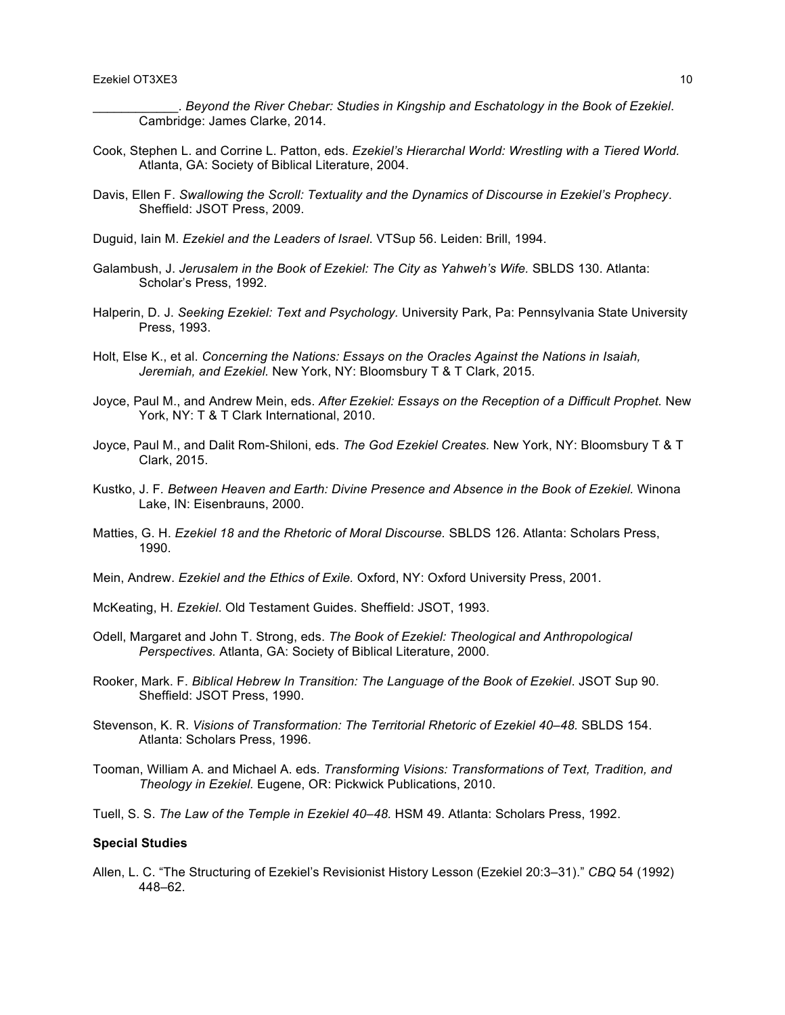\_\_\_\_\_\_\_\_\_\_\_\_. *Beyond the River Chebar: Studies in Kingship and Eschatology in the Book of Ezekiel*. Cambridge: James Clarke, 2014.

- Cook, Stephen L. and Corrine L. Patton, eds. *Ezekiel's Hierarchal World: Wrestling with a Tiered World.*  Atlanta, GA: Society of Biblical Literature, 2004.
- Davis, Ellen F. *Swallowing the Scroll: Textuality and the Dynamics of Discourse in Ezekiel's Prophecy*. Sheffield: JSOT Press, 2009.
- Duguid, Iain M. *Ezekiel and the Leaders of Israel*. VTSup 56. Leiden: Brill, 1994.
- Galambush, J. *Jerusalem in the Book of Ezekiel: The City as Yahweh's Wife.* SBLDS 130. Atlanta: Scholar's Press, 1992.
- Halperin, D. J. *Seeking Ezekiel: Text and Psychology.* University Park, Pa: Pennsylvania State University Press, 1993.
- Holt, Else K., et al. *Concerning the Nations: Essays on the Oracles Against the Nations in Isaiah, Jeremiah, and Ezekiel.* New York, NY: Bloomsbury T & T Clark, 2015.
- Joyce, Paul M., and Andrew Mein, eds. *After Ezekiel: Essays on the Reception of a Difficult Prophet.* New York, NY: T & T Clark International, 2010.
- Joyce, Paul M., and Dalit Rom-Shiloni, eds. *The God Ezekiel Creates.* New York, NY: Bloomsbury T & T Clark, 2015.
- Kustko, J. F*. Between Heaven and Earth: Divine Presence and Absence in the Book of Ezekiel.* Winona Lake, IN: Eisenbrauns, 2000.
- Matties, G. H. *Ezekiel 18 and the Rhetoric of Moral Discourse.* SBLDS 126. Atlanta: Scholars Press, 1990.
- Mein, Andrew. *Ezekiel and the Ethics of Exile.* Oxford, NY: Oxford University Press, 2001.
- McKeating, H. *Ezekiel*. Old Testament Guides. Sheffield: JSOT, 1993.
- Odell, Margaret and John T. Strong, eds. *The Book of Ezekiel: Theological and Anthropological Perspectives.* Atlanta, GA: Society of Biblical Literature, 2000.
- Rooker, Mark. F. *Biblical Hebrew In Transition: The Language of the Book of Ezekiel*. JSOT Sup 90. Sheffield: JSOT Press, 1990.
- Stevenson, K. R. *Visions of Transformation: The Territorial Rhetoric of Ezekiel 40–48.* SBLDS 154. Atlanta: Scholars Press, 1996.
- Tooman, William A. and Michael A. eds. *Transforming Visions: Transformations of Text, Tradition, and Theology in Ezekiel.* Eugene, OR: Pickwick Publications, 2010.
- Tuell, S. S. *The Law of the Temple in Ezekiel 40–48.* HSM 49. Atlanta: Scholars Press, 1992.

## **Special Studies**

Allen, L. C. "The Structuring of Ezekiel's Revisionist History Lesson (Ezekiel 20:3–31)." *CBQ* 54 (1992) 448–62.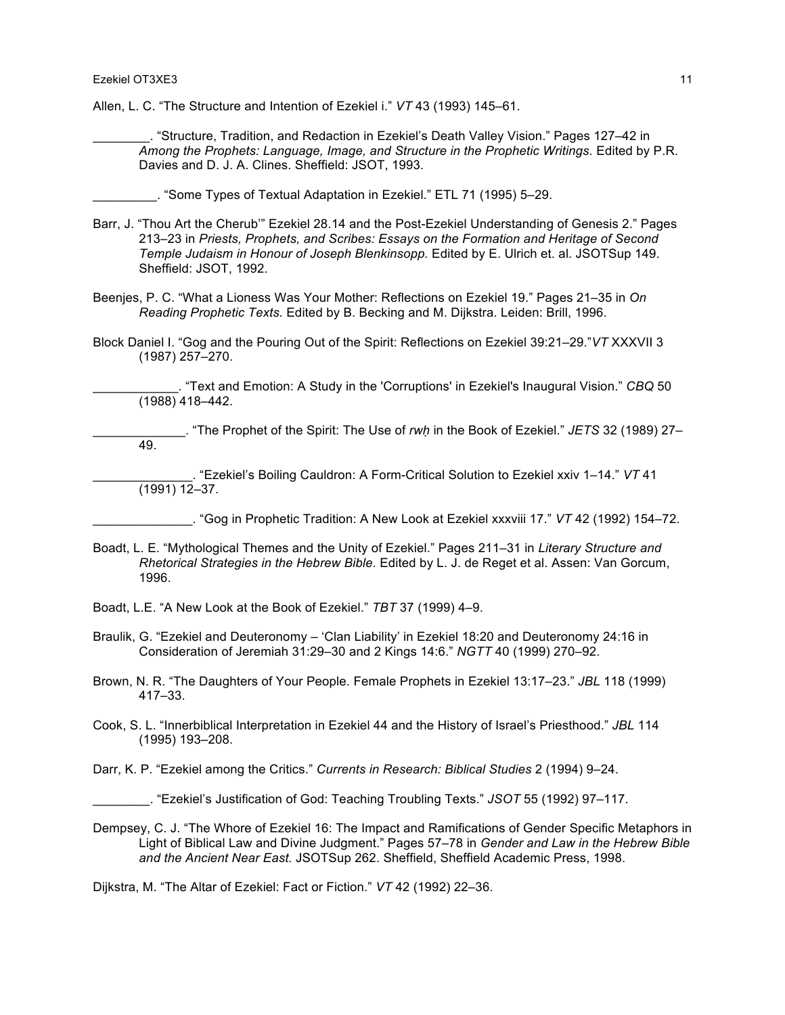Allen, L. C. "The Structure and Intention of Ezekiel i." *VT* 43 (1993) 145–61.

\_\_\_\_\_\_\_\_. "Structure, Tradition, and Redaction in Ezekiel's Death Valley Vision." Pages 127–42 in *Among the Prophets: Language, Image, and Structure in the Prophetic Writings.* Edited by P.R. Davies and D. J. A. Clines. Sheffield: JSOT, 1993.

\_\_\_\_\_\_\_\_\_. "Some Types of Textual Adaptation in Ezekiel." ETL 71 (1995) 5–29.

- Barr, J. "Thou Art the Cherub'" Ezekiel 28.14 and the Post-Ezekiel Understanding of Genesis 2." Pages 213–23 in *Priests, Prophets, and Scribes: Essays on the Formation and Heritage of Second Temple Judaism in Honour of Joseph Blenkinsopp.* Edited by E. Ulrich et. al. JSOTSup 149. Sheffield: JSOT, 1992.
- Beenjes, P. C. "What a Lioness Was Your Mother: Reflections on Ezekiel 19." Pages 21–35 in *On Reading Prophetic Texts.* Edited by B. Becking and M. Dijkstra. Leiden: Brill, 1996.
- Block Daniel I. "Gog and the Pouring Out of the Spirit: Reflections on Ezekiel 39:21–29."*VT* XXXVII 3 (1987) 257–270.

\_\_\_\_\_\_\_\_\_\_\_\_. "Text and Emotion: A Study in the 'Corruptions' in Ezekiel's Inaugural Vision." *CBQ* 50  $(1988)$  418–442.

\_\_\_\_\_\_\_\_\_\_\_\_\_. "The Prophet of the Spirit: The Use of *rwḥ* in the Book of Ezekiel." *JETS* 32 (1989) 27– 49.

\_\_\_\_\_\_\_\_\_\_\_\_\_\_. "Ezekiel's Boiling Cauldron: A Form-Critical Solution to Ezekiel xxiv 1–14." *VT* 41 (1991) 12–37.

\_\_\_\_\_\_\_\_\_\_\_\_\_\_. "Gog in Prophetic Tradition: A New Look at Ezekiel xxxviii 17." *VT* 42 (1992) 154–72.

- Boadt, L. E. "Mythological Themes and the Unity of Ezekiel." Pages 211–31 in *Literary Structure and Rhetorical Strategies in the Hebrew Bible*. Edited by L. J. de Reget et al. Assen: Van Gorcum, 1996.
- Boadt, L.E. "A New Look at the Book of Ezekiel." *TBT* 37 (1999) 4–9.
- Braulik, G. "Ezekiel and Deuteronomy 'Clan Liability' in Ezekiel 18:20 and Deuteronomy 24:16 in Consideration of Jeremiah 31:29–30 and 2 Kings 14:6." *NGTT* 40 (1999) 270–92.
- Brown, N. R. "The Daughters of Your People. Female Prophets in Ezekiel 13:17–23." *JBL* 118 (1999) 417–33.
- Cook, S. L. "Innerbiblical Interpretation in Ezekiel 44 and the History of Israel's Priesthood." *JBL* 114 (1995) 193–208.
- Darr, K. P. "Ezekiel among the Critics." *Currents in Research: Biblical Studies* 2 (1994) 9–24.
	- \_\_\_\_\_\_\_\_. "Ezekiel's Justification of God: Teaching Troubling Texts." *JSOT* 55 (1992) 97–117.
- Dempsey, C. J. "The Whore of Ezekiel 16: The Impact and Ramifications of Gender Specific Metaphors in Light of Biblical Law and Divine Judgment." Pages 57–78 in *Gender and Law in the Hebrew Bible and the Ancient Near East.* JSOTSup 262. Sheffield, Sheffield Academic Press, 1998.

Dijkstra, M. "The Altar of Ezekiel: Fact or Fiction." *VT* 42 (1992) 22–36.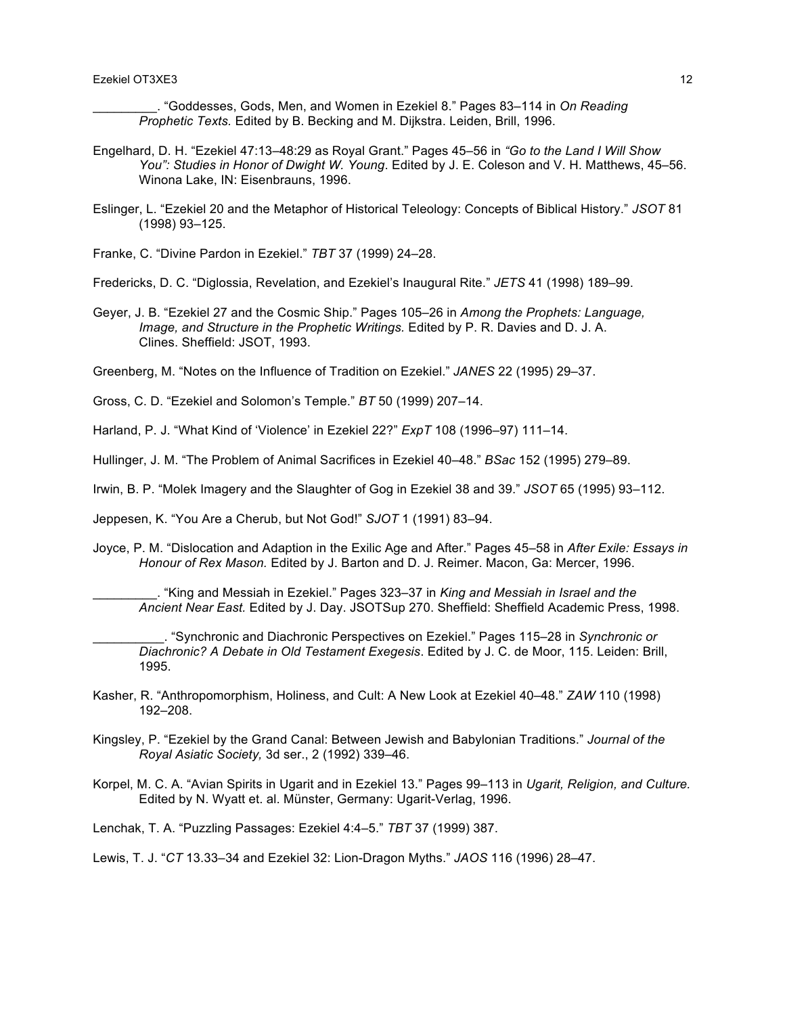\_\_\_\_\_\_\_\_\_. "Goddesses, Gods, Men, and Women in Ezekiel 8." Pages 83–114 in *On Reading Prophetic Texts.* Edited by B. Becking and M. Dijkstra. Leiden, Brill, 1996.

- Engelhard, D. H. "Ezekiel 47:13–48:29 as Royal Grant." Pages 45–56 in *"Go to the Land I Will Show You": Studies in Honor of Dwight W. Young*. Edited by J. E. Coleson and V. H. Matthews, 45–56. Winona Lake, IN: Eisenbrauns, 1996.
- Eslinger, L. "Ezekiel 20 and the Metaphor of Historical Teleology: Concepts of Biblical History." *JSOT* 81 (1998) 93–125.

Franke, C. "Divine Pardon in Ezekiel." *TBT* 37 (1999) 24–28.

Fredericks, D. C. "Diglossia, Revelation, and Ezekiel's Inaugural Rite." *JETS* 41 (1998) 189–99.

Geyer, J. B. "Ezekiel 27 and the Cosmic Ship." Pages 105–26 in *Among the Prophets: Language, Image, and Structure in the Prophetic Writings.* Edited by P. R. Davies and D. J. A. Clines. Sheffield: JSOT, 1993.

Greenberg, M. "Notes on the Influence of Tradition on Ezekiel." *JANES* 22 (1995) 29–37.

Gross, C. D. "Ezekiel and Solomon's Temple." *BT* 50 (1999) 207–14.

Harland, P. J. "What Kind of 'Violence' in Ezekiel 22?" *ExpT* 108 (1996–97) 111–14.

Hullinger, J. M. "The Problem of Animal Sacrifices in Ezekiel 40–48." *BSac* 152 (1995) 279–89.

Irwin, B. P. "Molek Imagery and the Slaughter of Gog in Ezekiel 38 and 39." *JSOT* 65 (1995) 93–112.

Jeppesen, K. "You Are a Cherub, but Not God!" *SJOT* 1 (1991) 83–94.

Joyce, P. M. "Dislocation and Adaption in the Exilic Age and After." Pages 45–58 in *After Exile: Essays in Honour of Rex Mason.* Edited by J. Barton and D. J. Reimer. Macon, Ga: Mercer, 1996.

\_\_\_\_\_\_\_\_\_. "King and Messiah in Ezekiel." Pages 323–37 in *King and Messiah in Israel and the Ancient Near East.* Edited by J. Day. JSOTSup 270. Sheffield: Sheffield Academic Press, 1998.

\_\_\_\_\_\_\_\_\_\_. "Synchronic and Diachronic Perspectives on Ezekiel." Pages 115–28 in *Synchronic or Diachronic? A Debate in Old Testament Exegesis*. Edited by J. C. de Moor, 115. Leiden: Brill, 1995.

- Kasher, R. "Anthropomorphism, Holiness, and Cult: A New Look at Ezekiel 40–48." *ZAW* 110 (1998) 192–208.
- Kingsley, P. "Ezekiel by the Grand Canal: Between Jewish and Babylonian Traditions." *Journal of the Royal Asiatic Society,* 3d ser., 2 (1992) 339–46.
- Korpel, M. C. A. "Avian Spirits in Ugarit and in Ezekiel 13." Pages 99–113 in *Ugarit, Religion, and Culture.* Edited by N. Wyatt et. al. Münster, Germany: Ugarit-Verlag, 1996.

Lenchak, T. A. "Puzzling Passages: Ezekiel 4:4–5." *TBT* 37 (1999) 387.

Lewis, T. J. "*CT* 13.33–34 and Ezekiel 32: Lion-Dragon Myths." *JAOS* 116 (1996) 28–47.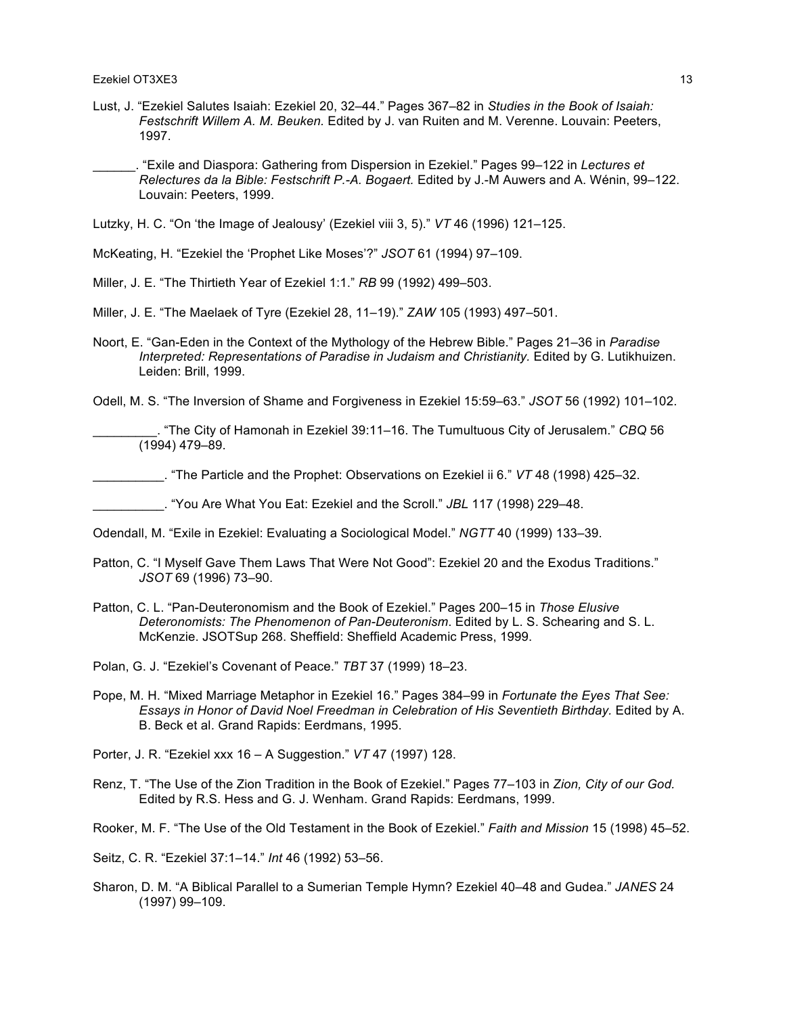- Lust, J. "Ezekiel Salutes Isaiah: Ezekiel 20, 32–44." Pages 367–82 in *Studies in the Book of Isaiah: Festschrift Willem A. M. Beuken.* Edited by J. van Ruiten and M. Verenne. Louvain: Peeters, 1997.
- \_\_\_\_\_\_. "Exile and Diaspora: Gathering from Dispersion in Ezekiel." Pages 99–122 in *Lectures et Relectures da la Bible: Festschrift P.-A. Bogaert.* Edited by J.-M Auwers and A. Wénin, 99–122. Louvain: Peeters, 1999.

Lutzky, H. C. "On 'the Image of Jealousy' (Ezekiel viii 3, 5)." *VT* 46 (1996) 121–125.

McKeating, H. "Ezekiel the 'Prophet Like Moses'?" *JSOT* 61 (1994) 97–109.

- Miller, J. E. "The Thirtieth Year of Ezekiel 1:1." *RB* 99 (1992) 499–503.
- Miller, J. E. "The Maelaek of Tyre (Ezekiel 28, 11–19)." *ZAW* 105 (1993) 497–501.
- Noort, E. "Gan-Eden in the Context of the Mythology of the Hebrew Bible." Pages 21–36 in *Paradise Interpreted: Representations of Paradise in Judaism and Christianity.* Edited by G. Lutikhuizen. Leiden: Brill, 1999.
- Odell, M. S. "The Inversion of Shame and Forgiveness in Ezekiel 15:59–63." *JSOT* 56 (1992) 101–102.

\_\_\_\_\_\_\_\_\_. "The City of Hamonah in Ezekiel 39:11–16. The Tumultuous City of Jerusalem." *CBQ* 56 (1994) 479–89.

\_\_\_\_\_\_\_\_\_\_. "The Particle and the Prophet: Observations on Ezekiel ii 6." *VT* 48 (1998) 425–32.

\_\_\_\_\_\_\_\_\_\_. "You Are What You Eat: Ezekiel and the Scroll." *JBL* 117 (1998) 229–48.

Odendall, M. "Exile in Ezekiel: Evaluating a Sociological Model." *NGTT* 40 (1999) 133–39.

- Patton, C. "I Myself Gave Them Laws That Were Not Good": Ezekiel 20 and the Exodus Traditions." *JSOT* 69 (1996) 73–90.
- Patton, C. L. "Pan-Deuteronomism and the Book of Ezekiel." Pages 200–15 in *Those Elusive Deteronomists: The Phenomenon of Pan-Deuteronism*. Edited by L. S. Schearing and S. L. McKenzie. JSOTSup 268. Sheffield: Sheffield Academic Press, 1999.
- Polan, G. J. "Ezekiel's Covenant of Peace." *TBT* 37 (1999) 18–23.
- Pope, M. H. "Mixed Marriage Metaphor in Ezekiel 16." Pages 384–99 in *Fortunate the Eyes That See: Essays in Honor of David Noel Freedman in Celebration of His Seventieth Birthday.* Edited by A. B. Beck et al. Grand Rapids: Eerdmans, 1995.

Porter, J. R. "Ezekiel xxx 16 – A Suggestion." *VT* 47 (1997) 128.

Renz, T. "The Use of the Zion Tradition in the Book of Ezekiel." Pages 77–103 in *Zion, City of our God.*  Edited by R.S. Hess and G. J. Wenham. Grand Rapids: Eerdmans, 1999.

Rooker, M. F. "The Use of the Old Testament in the Book of Ezekiel." *Faith and Mission* 15 (1998) 45–52.

Seitz, C. R. "Ezekiel 37:1–14." *Int* 46 (1992) 53–56.

Sharon, D. M. "A Biblical Parallel to a Sumerian Temple Hymn? Ezekiel 40–48 and Gudea." *JANES* 24 (1997) 99–109.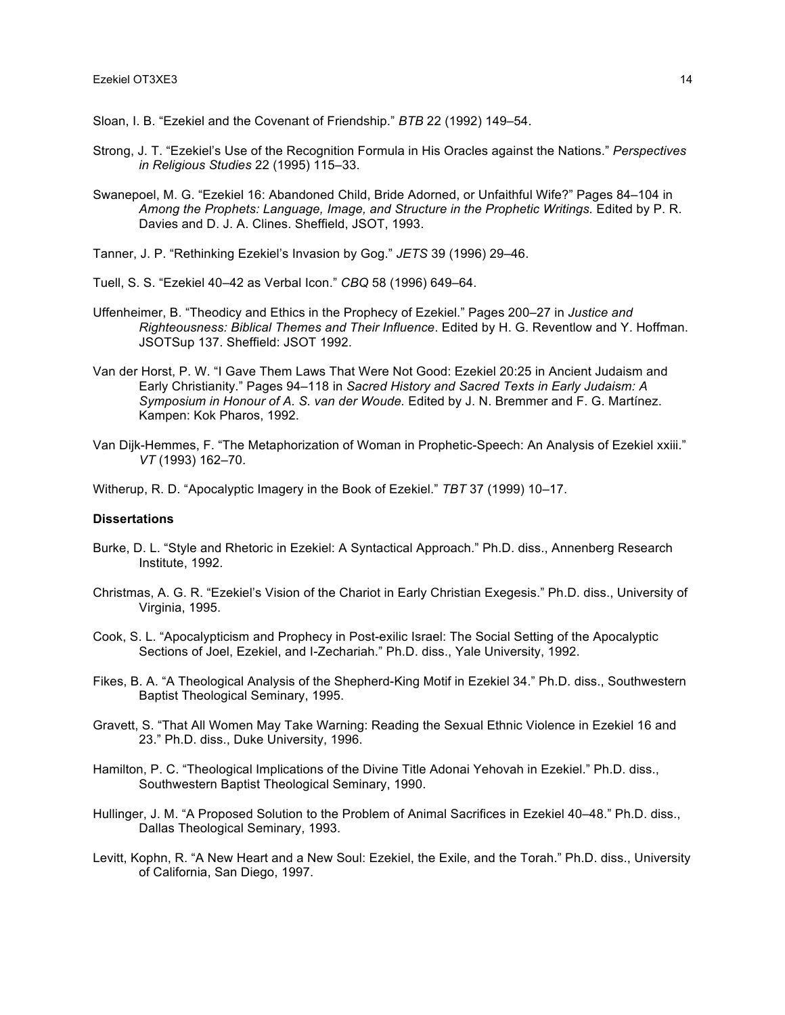Sloan, I. B. "Ezekiel and the Covenant of Friendship." *BTB* 22 (1992) 149–54.

- Strong, J. T. "Ezekiel's Use of the Recognition Formula in His Oracles against the Nations." *Perspectives in Religious Studies* 22 (1995) 115–33.
- Swanepoel, M. G. "Ezekiel 16: Abandoned Child, Bride Adorned, or Unfaithful Wife?" Pages 84–104 in *Among the Prophets: Language, Image, and Structure in the Prophetic Writings.* Edited by P. R. Davies and D. J. A. Clines. Sheffield, JSOT, 1993.
- Tanner, J. P. "Rethinking Ezekiel's Invasion by Gog." *JETS* 39 (1996) 29–46.
- Tuell, S. S. "Ezekiel 40–42 as Verbal Icon." *CBQ* 58 (1996) 649–64.
- Uffenheimer, B. "Theodicy and Ethics in the Prophecy of Ezekiel." Pages 200–27 in *Justice and Righteousness: Biblical Themes and Their Influence*. Edited by H. G. Reventlow and Y. Hoffman. JSOTSup 137. Sheffield: JSOT 1992.
- Van der Horst, P. W. "I Gave Them Laws That Were Not Good: Ezekiel 20:25 in Ancient Judaism and Early Christianity." Pages 94–118 in *Sacred History and Sacred Texts in Early Judaism: A Symposium in Honour of A. S. van der Woude.* Edited by J. N. Bremmer and F. G. Martínez. Kampen: Kok Pharos, 1992.
- Van Dijk-Hemmes, F. "The Metaphorization of Woman in Prophetic-Speech: An Analysis of Ezekiel xxiii." *VT* (1993) 162–70.
- Witherup, R. D. "Apocalyptic Imagery in the Book of Ezekiel." *TBT* 37 (1999) 10–17.

#### **Dissertations**

- Burke, D. L. "Style and Rhetoric in Ezekiel: A Syntactical Approach." Ph.D. diss., Annenberg Research Institute, 1992.
- Christmas, A. G. R. "Ezekiel's Vision of the Chariot in Early Christian Exegesis." Ph.D. diss., University of Virginia, 1995.
- Cook, S. L. "Apocalypticism and Prophecy in Post-exilic Israel: The Social Setting of the Apocalyptic Sections of Joel, Ezekiel, and I-Zechariah." Ph.D. diss., Yale University, 1992.
- Fikes, B. A. "A Theological Analysis of the Shepherd-King Motif in Ezekiel 34." Ph.D. diss., Southwestern Baptist Theological Seminary, 1995.
- Gravett, S. "That All Women May Take Warning: Reading the Sexual Ethnic Violence in Ezekiel 16 and 23." Ph.D. diss., Duke University, 1996.
- Hamilton, P. C. "Theological Implications of the Divine Title Adonai Yehovah in Ezekiel." Ph.D. diss., Southwestern Baptist Theological Seminary, 1990.
- Hullinger, J. M. "A Proposed Solution to the Problem of Animal Sacrifices in Ezekiel 40–48." Ph.D. diss., Dallas Theological Seminary, 1993.
- Levitt, Kophn, R. "A New Heart and a New Soul: Ezekiel, the Exile, and the Torah." Ph.D. diss., University of California, San Diego, 1997.